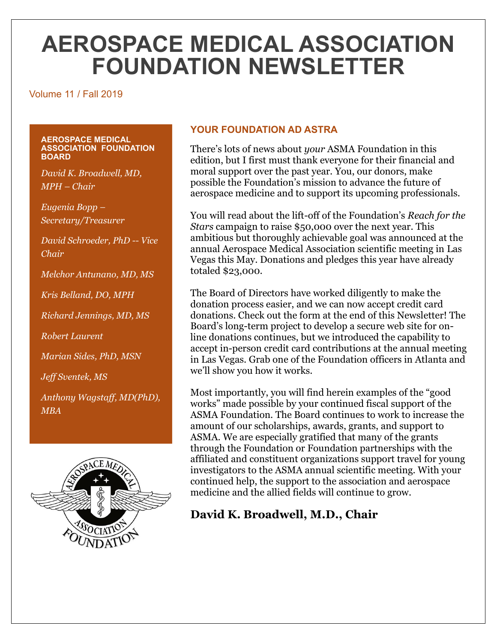# **AEROSPACE MEDICAL ASSOCIATION FOUNDATION NEWSLETTER**

#### Volume 11 / Fall 2019

#### **AEROSPACE MEDICAL ASSOCIATION FOUNDATION BOARD**

*David K. Broadwell, MD, MPH – Chair*

*Eugenia Bopp – Secretary/Treasurer*

*David Schroeder, PhD -- Vice Chair*

*Melchor Antunano, MD, MS*

*Kris Belland, DO, MPH*

*Richard Jennings, MD, MS*

*Robert Laurent*

*Marian Sides, PhD, MSN*

*Jeff Sventek, MS*

*Anthony Wagstaff, MD(PhD), MBA* 



# **YOUR FOUNDATION AD ASTRA**

There's lots of news about *your* ASMA Foundation in this edition, but I first must thank everyone for their financial and moral support over the past year. You, our donors, make possible the Foundation's mission to advance the future of aerospace medicine and to support its upcoming professionals.

You will read about the lift-off of the Foundation's *Reach for the Stars* campaign to raise \$50,000 over the next year. This ambitious but thoroughly achievable goal was announced at the annual Aerospace Medical Association scientific meeting in Las Vegas this May. Donations and pledges this year have already totaled \$23,000.

The Board of Directors have worked diligently to make the donation process easier, and we can now accept credit card donations. Check out the form at the end of this Newsletter! The Board's long-term project to develop a secure web site for online donations continues, but we introduced the capability to accept in-person credit card contributions at the annual meeting in Las Vegas. Grab one of the Foundation officers in Atlanta and we'll show you how it works.

Most importantly, you will find herein examples of the "good works" made possible by your continued fiscal support of the ASMA Foundation. The Board continues to work to increase the amount of our scholarships, awards, grants, and support to ASMA. We are especially gratified that many of the grants through the Foundation or Foundation partnerships with the affiliated and constituent organizations support travel for young investigators to the ASMA annual scientific meeting. With your continued help, the support to the association and aerospace medicine and the allied fields will continue to grow.

# **David K. Broadwell, M.D., Chair**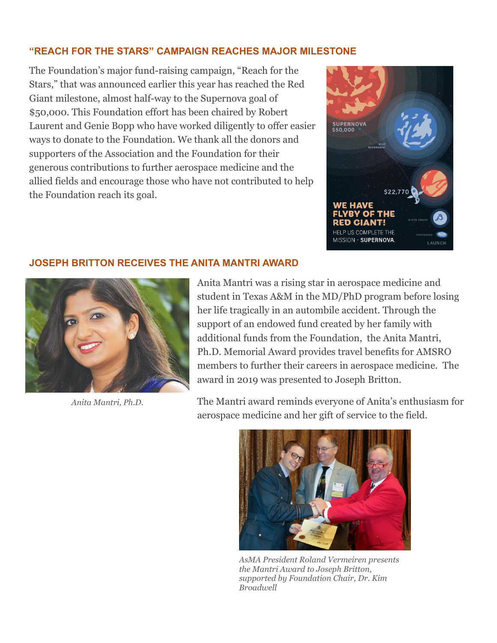### **"REACH FOR THE STARS" CAMPAIGN REACHES MAJOR MILESTONE**

The Foundation's major fund-raising campaign, "Reach for the Stars," that was announced earlier this year has reached the Red Giant milestone, almost half-way to the Supernova goal of \$50,000. This Foundation effort has been chaired by Robert Laurent and Genie Bopp who have worked diligently to offer easier ways to donate to the Foundation. We thank all the donors and supporters of the Association and the Foundation for their generous contributions to further aerospace medicine and the allied fields and encourage those who have not contributed to help the Foundation reach its goal.



#### **JOSEPH BRITTON RECEIVES THE ANITA MANTRI AWARD**



*Anita Mantri, Ph.D.*

Anita Mantri was a rising star in aerospace medicine and student in Texas A&M in the MD/PhD program before losing her life tragically in an autombile accident. Through the support of an endowed fund created by her family with additional funds from the Foundation, the Anita Mantri, Ph.D. Memorial Award provides travel benefits for AMSRO members to further their careers in aerospace medicine. The award in 2019 was presented to Joseph Britton.

The Mantri award reminds everyone of Anita's enthusiasm for aerospace medicine and her gift of service to the field.



*AsMA President Roland Vermeiren presents the Mantri Award to Joseph Britton, supported by Foundation Chair, Dr. Kim Broadwell*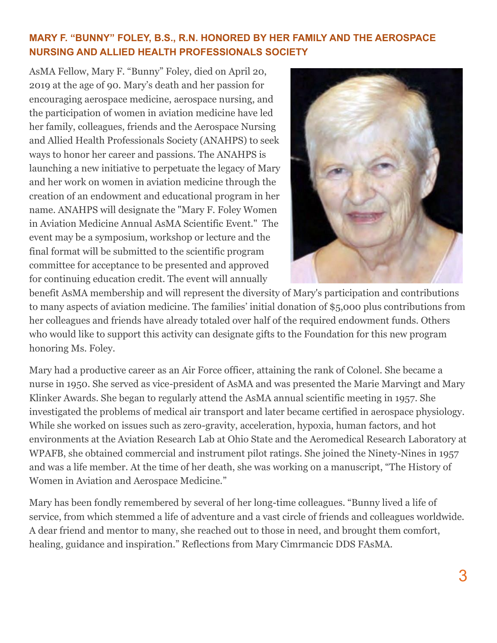# **MARY F. "BUNNY" FOLEY, B.S., R.N. HONORED BY HER FAMILY AND THE AEROSPACE NURSING AND ALLIED HEALTH PROFESSIONALS SOCIETY**

AsMA Fellow, Mary F. "Bunny" Foley, died on April 20, 2019 at the age of 90. Mary's death and her passion for encouraging aerospace medicine, aerospace nursing, and the participation of women in aviation medicine have led her family, colleagues, friends and the Aerospace Nursing and Allied Health Professionals Society (ANAHPS) to seek ways to honor her career and passions. The ANAHPS is launching a new initiative to perpetuate the legacy of Mary and her work on women in aviation medicine through the creation of an endowment and educational program in her name. ANAHPS will designate the "Mary F. Foley Women in Aviation Medicine Annual AsMA Scientific Event." The event may be a symposium, workshop or lecture and the final format will be submitted to the scientific program committee for acceptance to be presented and approved for continuing education credit. The event will annually



benefit AsMA membership and will represent the diversity of Mary's participation and contributions to many aspects of aviation medicine. The families' initial donation of \$5,000 plus contributions from her colleagues and friends have already totaled over half of the required endowment funds. Others who would like to support this activity can designate gifts to the Foundation for this new program honoring Ms. Foley.

Mary had a productive career as an Air Force officer, attaining the rank of Colonel. She became a nurse in 1950. She served as vice-president of AsMA and was presented the Marie Marvingt and Mary Klinker Awards. She began to regularly attend the AsMA annual scientific meeting in 1957. She investigated the problems of medical air transport and later became certified in aerospace physiology. While she worked on issues such as zero-gravity, acceleration, hypoxia, human factors, and hot environments at the Aviation Research Lab at Ohio State and the Aeromedical Research Laboratory at WPAFB, she obtained commercial and instrument pilot ratings. She joined the Ninety-Nines in 1957 and was a life member. At the time of her death, she was working on a manuscript, "The History of Women in Aviation and Aerospace Medicine."

Mary has been fondly remembered by several of her long-time colleagues. "Bunny lived a life of service, from which stemmed a life of adventure and a vast circle of friends and colleagues worldwide. A dear friend and mentor to many, she reached out to those in need, and brought them comfort, healing, guidance and inspiration." Reflections from Mary Cimrmancic DDS FAsMA.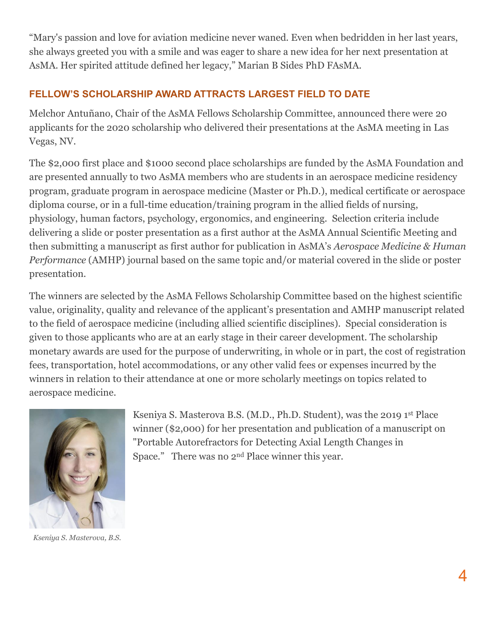"Mary's passion and love for aviation medicine never waned. Even when bedridden in her last years, she always greeted you with a smile and was eager to share a new idea for her next presentation at AsMA. Her spirited attitude defined her legacy," Marian B Sides PhD FAsMA.

# **FELLOW'S SCHOLARSHIP AWARD ATTRACTS LARGEST FIELD TO DATE**

Melchor Antuñano, Chair of the AsMA Fellows Scholarship Committee, announced there were 20 applicants for the 2020 scholarship who delivered their presentations at the AsMA meeting in Las Vegas, NV.

The \$2,000 first place and \$1000 second place scholarships are funded by the AsMA Foundation and are presented annually to two AsMA members who are students in an aerospace medicine residency program, graduate program in aerospace medicine (Master or Ph.D.), medical certificate or aerospace diploma course, or in a full-time education/training program in the allied fields of nursing, physiology, human factors, psychology, ergonomics, and engineering. Selection criteria include delivering a slide or poster presentation as a first author at the AsMA Annual Scientific Meeting and then submitting a manuscript as first author for publication in AsMA's *Aerospace Medicine & Human Performance* (AMHP) journal based on the same topic and/or material covered in the slide or poster presentation.

The winners are selected by the AsMA Fellows Scholarship Committee based on the highest scientific value, originality, quality and relevance of the applicant's presentation and AMHP manuscript related to the field of aerospace medicine (including allied scientific disciplines). Special consideration is given to those applicants who are at an early stage in their career development. The scholarship monetary awards are used for the purpose of underwriting, in whole or in part, the cost of registration fees, transportation, hotel accommodations, or any other valid fees or expenses incurred by the winners in relation to their attendance at one or more scholarly meetings on topics related to aerospace medicine.



*Kseniya S. Masterova, B.S.*

Kseniya S. Masterova B.S. (M.D., Ph.D. Student), was the 2019 1st Place winner (\$2,000) for her presentation and publication of a manuscript on "Portable Autorefractors for Detecting Axial Length Changes in Space." There was no 2nd Place winner this year.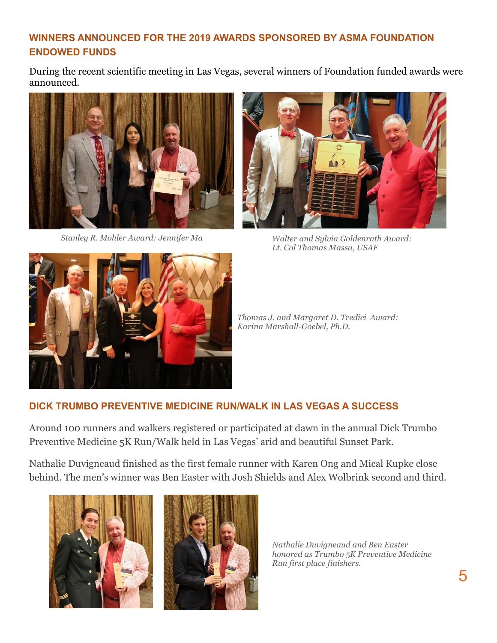# **WINNERS ANNOUNCED FOR THE 2019 AWARDS SPONSORED BY ASMA FOUNDATION ENDOWED FUNDS**

During the recent scientific meeting in Las Vegas, several winners of Foundation funded awards were announced.





*Stanley R. Mohler Award: Jennifer Ma Walter and Sylvia Goldenrath Award: Lt. Col Thomas Massa, USAF*



*Thomas J. and Margaret D. Tredici Award: Karina Marshall-Goebel, Ph.D.*

# **DICK TRUMBO PREVENTIVE MEDICINE RUN/WALK IN LAS VEGAS A SUCCESS**

Around 100 runners and walkers registered or participated at dawn in the annual Dick Trumbo Preventive Medicine 5K Run/Walk held in Las Vegas' arid and beautiful Sunset Park.

Nathalie Duvigneaud finished as the first female runner with Karen Ong and Mical Kupke close behind. The men's winner was Ben Easter with Josh Shields and Alex Wolbrink second and third.





*Nathalie Duvigneaud and Ben Easter honored as Trumbo 5K Preventive Medicine Run first place finishers.*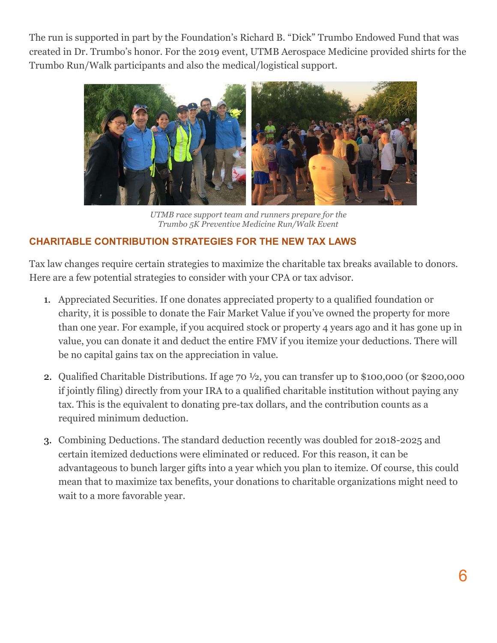The run is supported in part by the Foundation's Richard B. "Dick" Trumbo Endowed Fund that was created in Dr. Trumbo's honor. For the 2019 event, UTMB Aerospace Medicine provided shirts for the Trumbo Run/Walk participants and also the medical/logistical support.



*UTMB race support team and runners prepare for the Trumbo 5K Preventive Medicine Run/Walk Event*

# **CHARITABLE CONTRIBUTION STRATEGIES FOR THE NEW TAX LAWS**

Tax law changes require certain strategies to maximize the charitable tax breaks available to donors. Here are a few potential strategies to consider with your CPA or tax advisor.

- 1. Appreciated Securities. If one donates appreciated property to a qualified foundation or charity, it is possible to donate the Fair Market Value if you've owned the property for more than one year. For example, if you acquired stock or property 4 years ago and it has gone up in value, you can donate it and deduct the entire FMV if you itemize your deductions. There will be no capital gains tax on the appreciation in value.
- 2. Qualified Charitable Distributions. If age 70 ½, you can transfer up to \$100,000 (or \$200,000 if jointly filing) directly from your IRA to a qualified charitable institution without paying any tax. This is the equivalent to donating pre-tax dollars, and the contribution counts as a required minimum deduction.
- 3. Combining Deductions. The standard deduction recently was doubled for 2018-2025 and certain itemized deductions were eliminated or reduced. For this reason, it can be advantageous to bunch larger gifts into a year which you plan to itemize. Of course, this could mean that to maximize tax benefits, your donations to charitable organizations might need to wait to a more favorable year.